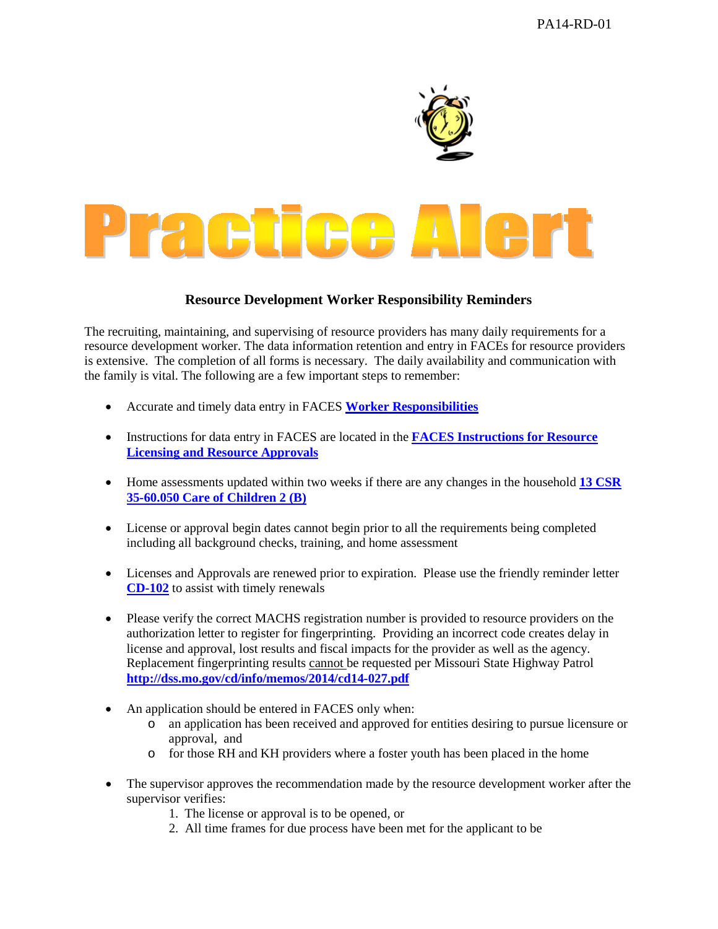

## **Resource Development Worker Responsibility Reminders**

The recruiting, maintaining, and supervising of resource providers has many daily requirements for a resource development worker. The data information retention and entry in FACEs for resource providers is extensive. The completion of all forms is necessary. The daily availability and communication with the family is vital. The following are a few important steps to remember:

- Accurate and timely data entry in FACES **[Worker Responsibilities](http://dss.mo.gov/cd/info/cwmanual/section6/ch3/sec6ch3attachm.htm)**
- Instructions for data entry in FACES are located in the **[FACES Instructions for Resource](http://dssweb/cs/faces/index.htm)  [Licensing and Resource Approvals](http://dssweb/cs/faces/index.htm)**
- Home assessments updated within two weeks if there are any changes in the household **[13 CSR](http://www.sos.mo.gov/adrules/csr/current/13csr/13c35-60.pdf)  [35-60.050 Care of Children 2 \(B\)](http://www.sos.mo.gov/adrules/csr/current/13csr/13c35-60.pdf)**
- License or approval begin dates cannot begin prior to all the requirements being completed including all background checks, training, and home assessment
- Licenses and Approvals are renewed prior to expiration. Please use the friendly reminder letter **[CD-102](http://dss.mo.gov/cd/info/memos/2014/cd14-040.pdf)** to assist with timely renewals
- Please verify the correct MACHS registration number is provided to resource providers on the authorization letter to register for fingerprinting. Providing an incorrect code creates delay in license and approval, lost results and fiscal impacts for the provider as well as the agency. Replacement fingerprinting results cannot be requested per Missouri State Highway Patrol **<http://dss.mo.gov/cd/info/memos/2014/cd14-027.pdf>**
- An application should be entered in FACES only when:
	- $\overline{\circ}$  an application has been received and approved for entities desiring to pursue licensure or approval, and
	- o for those RH and KH providers where a foster youth has been placed in the home
- The supervisor approves the recommendation made by the resource development worker after the supervisor verifies:
	- 1. The license or approval is to be opened, or
	- 2. All time frames for due process have been met for the applicant to be